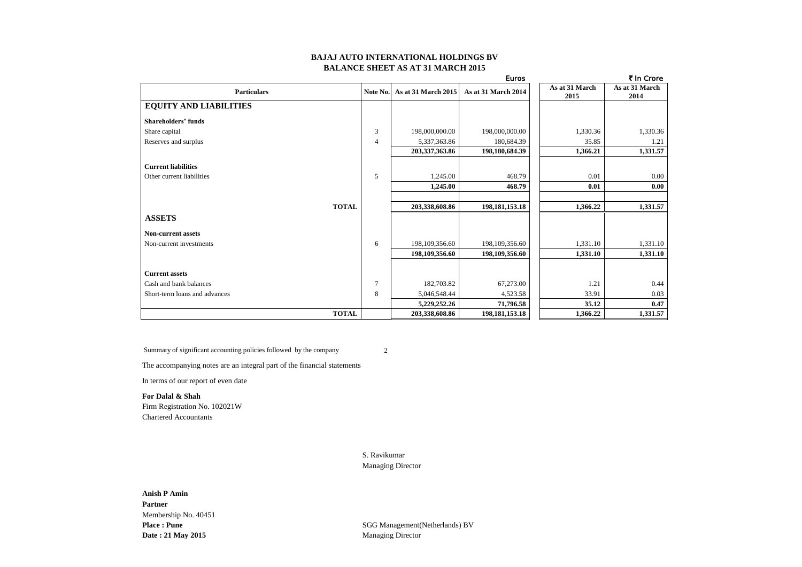### **BAJAJ AUTO INTERNATIONAL HOLDINGS BV BALANCE SHEET AS AT 31 MARCH 2015**

|                               |                |                     | <b>Euros</b>        |                | ₹ In Crore     |
|-------------------------------|----------------|---------------------|---------------------|----------------|----------------|
| <b>Particulars</b>            | Note No.       | As at 31 March 2015 | As at 31 March 2014 | As at 31 March | As at 31 March |
|                               |                |                     |                     | 2015           | 2014           |
| <b>EQUITY AND LIABILITIES</b> |                |                     |                     |                |                |
| <b>Shareholders' funds</b>    |                |                     |                     |                |                |
| Share capital                 | 3              | 198,000,000.00      | 198,000,000.00      | 1,330.36       | 1,330.36       |
| Reserves and surplus          | $\overline{4}$ | 5,337,363.86        | 180,684.39          | 35.85          | 1.21           |
|                               |                | 203,337,363.86      | 198,180,684.39      | 1,366.21       | 1,331.57       |
| <b>Current liabilities</b>    |                |                     |                     |                |                |
| Other current liabilities     | 5              | 1,245.00            | 468.79              | 0.01           | 0.00           |
|                               |                | 1,245.00            | 468.79              | 0.01           | 0.00           |
|                               |                |                     |                     |                |                |
| <b>TOTAL</b>                  |                | 203,338,608.86      | 198, 181, 153. 18   | 1,366.22       | 1,331.57       |
| <b>ASSETS</b>                 |                |                     |                     |                |                |
| <b>Non-current assets</b>     |                |                     |                     |                |                |
| Non-current investments       | 6              | 198,109,356.60      | 198,109,356.60      | 1,331.10       | 1,331.10       |
|                               |                | 198,109,356.60      | 198,109,356.60      | 1,331.10       | 1,331.10       |
|                               |                |                     |                     |                |                |
| <b>Current assets</b>         |                |                     |                     |                |                |
| Cash and bank balances        | $\overline{7}$ | 182,703.82          | 67,273.00           | 1.21           | 0.44           |
| Short-term loans and advances | 8              | 5,046,548.44        | 4,523.58            | 33.91          | 0.03           |
|                               |                | 5,229,252.26        | 71,796.58           | 35.12          | 0.47           |
| <b>TOTAL</b>                  |                | 203,338,608.86      | 198, 181, 153. 18   | 1,366.22       | 1,331.57       |

Summary of significant accounting policies followed by the company 2

The accompanying notes are an integral part of the financial statements

In terms of our report of even date

**For Dalal & Shah** Firm Registration No. 102021W Chartered Accountants

> S. Ravikumar Managing Director

# **Anish P Amin Partner** Membership No. 40451 **Date : 21 May 2015** Managing Director

**Place : Pune** SGG Management(Netherlands) BV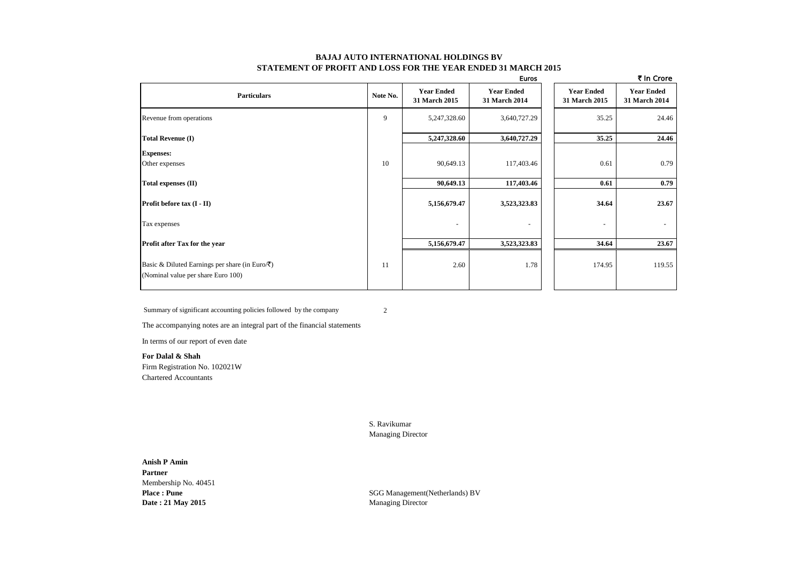### **BAJAJ AUTO INTERNATIONAL HOLDINGS BV STATEMENT OF PROFIT AND LOSS FOR THE YEAR ENDED 31 MARCH 2015**

|                                                                                                    |          |                                    | <b>Euros</b>                       |                                    | ₹ In Crore                         |
|----------------------------------------------------------------------------------------------------|----------|------------------------------------|------------------------------------|------------------------------------|------------------------------------|
| <b>Particulars</b>                                                                                 | Note No. | <b>Year Ended</b><br>31 March 2015 | <b>Year Ended</b><br>31 March 2014 | <b>Year Ended</b><br>31 March 2015 | <b>Year Ended</b><br>31 March 2014 |
| Revenue from operations                                                                            | 9        | 5,247,328.60                       | 3,640,727.29                       | 35.25                              | 24.46                              |
| <b>Total Revenue (I)</b>                                                                           |          | 5,247,328.60                       | 3,640,727.29                       | 35.25                              | 24.46                              |
| <b>Expenses:</b><br>Other expenses                                                                 | 10       | 90,649.13                          | 117,403.46                         | 0.61                               | 0.79                               |
| Total expenses (II)                                                                                |          | 90,649.13                          | 117,403.46                         | 0.61                               | 0.79                               |
| Profit before tax (I - II)                                                                         |          | 5,156,679.47                       | 3,523,323.83                       | 34.64                              | 23.67                              |
| Tax expenses                                                                                       |          | $\overline{\phantom{a}}$           | $\overline{\phantom{a}}$           | $\overline{\phantom{a}}$           |                                    |
| Profit after Tax for the year                                                                      |          | 5,156,679.47                       | 3,523,323.83                       | 34.64                              | 23.67                              |
| Basic & Diluted Earnings per share (in Euro/ $\bar{\zeta}$ )<br>(Nominal value per share Euro 100) | 11       | 2.60                               | 1.78                               | 174.95                             | 119.55                             |

Summary of significant accounting policies followed by the company 2

The accompanying notes are an integral part of the financial statements

In terms of our report of even date

**For Dalal & Shah** Firm Registration No. 102021W Chartered Accountants

> S. Ravikumar Managing Director

**Anish P Amin Partner** Membership No. 40451 **Date : 21 May 2015** Managing Director

**Place : Pune** SGG Management(Netherlands) BV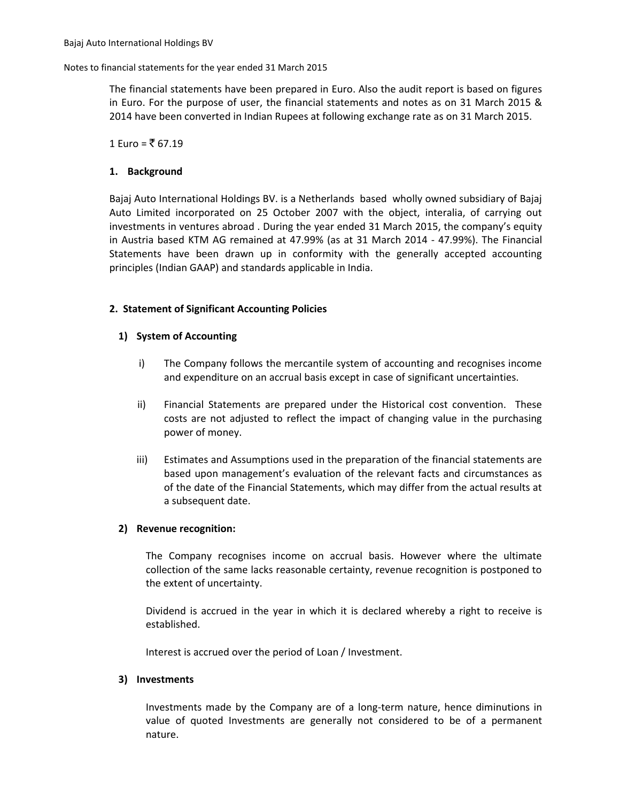### Notes to financial statements for the year ended 31 March 2015

The financial statements have been prepared in Euro. Also the audit report is based on figures in Euro. For the purpose of user, the financial statements and notes as on 31 March 2015 & 2014 have been converted in Indian Rupees at following exchange rate as on 31 March 2015.

1 Euro = ₹ 67.19

# **1. Background**

Bajaj Auto International Holdings BV. is a Netherlands based wholly owned subsidiary of Bajaj Auto Limited incorporated on 25 October 2007 with the object, interalia, of carrying out investments in ventures abroad . During the year ended 31 March 2015, the company's equity in Austria based KTM AG remained at 47.99% (as at 31 March 2014 - 47.99%). The Financial Statements have been drawn up in conformity with the generally accepted accounting principles (Indian GAAP) and standards applicable in India.

# **2. Statement of Significant Accounting Policies**

# **1) System of Accounting**

- i) The Company follows the mercantile system of accounting and recognises income and expenditure on an accrual basis except in case of significant uncertainties.
- ii) Financial Statements are prepared under the Historical cost convention. These costs are not adjusted to reflect the impact of changing value in the purchasing power of money.
- iii) Estimates and Assumptions used in the preparation of the financial statements are based upon management's evaluation of the relevant facts and circumstances as of the date of the Financial Statements, which may differ from the actual results at a subsequent date.

## **2) Revenue recognition:**

The Company recognises income on accrual basis. However where the ultimate collection of the same lacks reasonable certainty, revenue recognition is postponed to the extent of uncertainty.

Dividend is accrued in the year in which it is declared whereby a right to receive is established.

Interest is accrued over the period of Loan / Investment.

## **3) Investments**

Investments made by the Company are of a long-term nature, hence diminutions in value of quoted Investments are generally not considered to be of a permanent nature.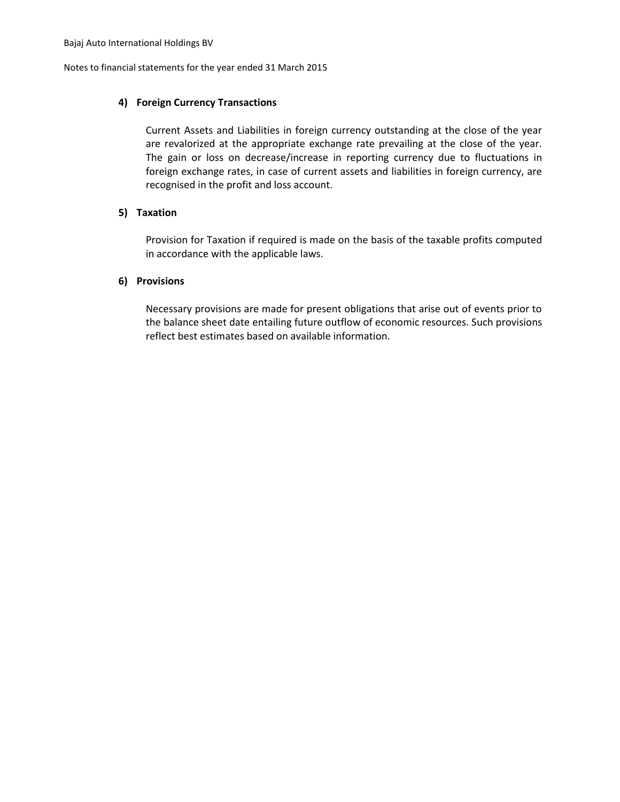Notes to financial statements for the year ended 31 March 2015

# **4) Foreign Currency Transactions**

Current Assets and Liabilities in foreign currency outstanding at the close of the year are revalorized at the appropriate exchange rate prevailing at the close of the year. The gain or loss on decrease/increase in reporting currency due to fluctuations in foreign exchange rates, in case of current assets and liabilities in foreign currency, are recognised in the profit and loss account.

# **5) Taxation**

Provision for Taxation if required is made on the basis of the taxable profits computed in accordance with the applicable laws.

# **6) Provisions**

Necessary provisions are made for present obligations that arise out of events prior to the balance sheet date entailing future outflow of economic resources. Such provisions reflect best estimates based on available information.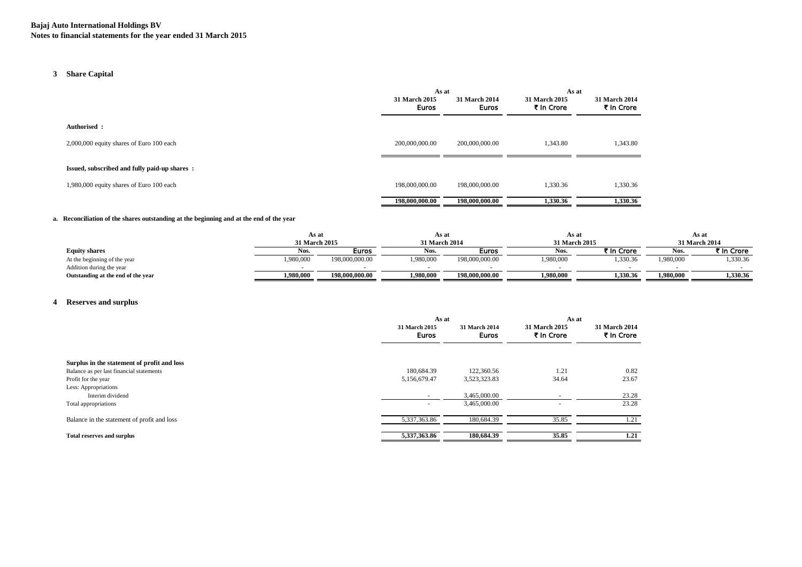# **3 Share Capital**

|                                              | As at                         |                        | As at                       |                             |
|----------------------------------------------|-------------------------------|------------------------|-----------------------------|-----------------------------|
|                                              | 31 March 2015<br><b>Euros</b> | 31 March 2014<br>Euros | 31 March 2015<br>₹ In Crore | 31 March 2014<br>₹ In Crore |
| Authorised :                                 |                               |                        |                             |                             |
| 2,000,000 equity shares of Euro 100 each     | 200,000,000.00                | 200,000,000.00         | 1,343.80                    | 1,343.80                    |
| Issued, subscribed and fully paid-up shares: |                               |                        |                             |                             |
| 1,980,000 equity shares of Euro 100 each     | 198,000,000,00                | 198,000,000.00         | 1,330.36                    | 1,330.36                    |
|                                              | 198,000,000.00                | 198,000,000.00         | 1,330.36                    | 1,330.36                    |

#### **a. Reconciliation of the shares outstanding at the beginning and at the end of the year**

|                                    | As at         |                | As at         |                | As at         |            |               | As at        |
|------------------------------------|---------------|----------------|---------------|----------------|---------------|------------|---------------|--------------|
|                                    | 31 March 2015 |                | 31 March 2014 |                | 31 March 2015 |            | 31 March 2014 |              |
| <b>Equity shares</b>               | NOS.          | Euros          | Nos.          | Euros          | Nos.          | ₹ In Crore |               | ₹ In Crore i |
| At the beginning of the year       | ,980,000      | 198,000,000.00 | 1,980,000     | 198,000,000.00 | 1,980,000     | ,330.36    | 1,980,000     | 1,330.36     |
| Addition during the year           |               |                |               |                |               |            |               |              |
| Outstanding at the end of the year | 1.980.000     | 198,000,000.00 | 1.980.000     | 198,000,000.00 | 1.980.000     | 1.330.36   | 1.980.000     | 1.330.36     |

### **4 Reserves and surplus**

|                                             | As at                  |                               | As at                       |                             |
|---------------------------------------------|------------------------|-------------------------------|-----------------------------|-----------------------------|
|                                             | 31 March 2015<br>Euros | 31 March 2014<br><b>Euros</b> | 31 March 2015<br>₹ In Crore | 31 March 2014<br>₹ In Crore |
| Surplus in the statement of profit and loss |                        |                               |                             |                             |
| Balance as per last financial statements    | 180,684.39             | 122,360.56                    | 1.21                        | 0.82                        |
| Profit for the year                         | 5,156,679.47           | 3,523,323.83                  | 34.64                       | 23.67                       |
| Less: Appropriations                        |                        |                               |                             |                             |
| Interim dividend                            |                        | 3,465,000.00                  |                             | 23.28                       |
| Total appropriations                        |                        | 3,465,000.00                  |                             | 23.28                       |
| Balance in the statement of profit and loss | 5,337,363.86           | 180,684.39                    | 35.85                       | 1.21                        |
| <b>Total reserves and surplus</b>           | 5,337,363.86           | 180,684.39                    | 35.85                       | 1.21                        |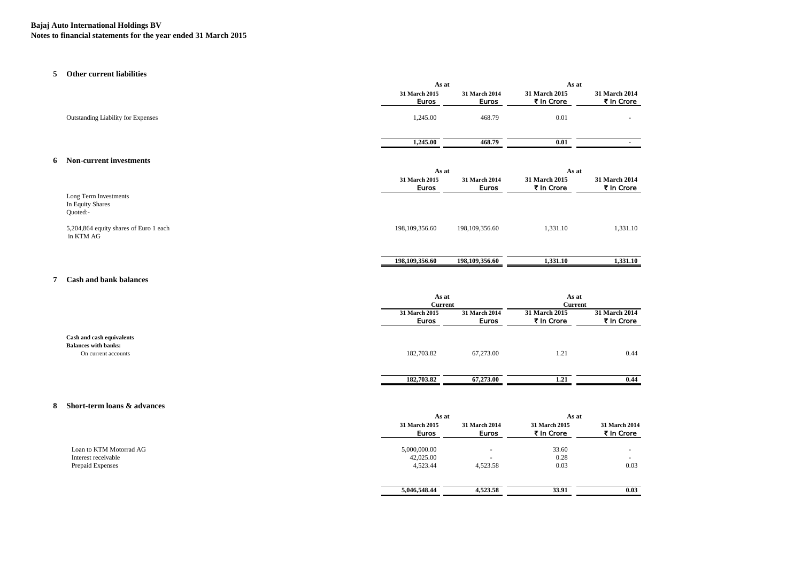### **Bajaj Auto International Holdings BV Notes to financial statements for the year ended 31 March 2015**

#### **5 Other current liabilities**

|                                                       | As at                         |                               | As at                       |                             |
|-------------------------------------------------------|-------------------------------|-------------------------------|-----------------------------|-----------------------------|
|                                                       | 31 March 2015<br><b>Euros</b> | 31 March 2014<br><b>Euros</b> | 31 March 2015<br>₹ In Crore | 31 March 2014<br>₹ In Crore |
| <b>Outstanding Liability for Expenses</b>             | 1,245.00                      | 468.79                        | 0.01                        |                             |
|                                                       | 1,245.00                      | 468.79                        | 0.01                        |                             |
| Non-current investments                               |                               |                               |                             |                             |
|                                                       | As at                         |                               | As at                       |                             |
|                                                       | 31 March 2015<br><b>Euros</b> | 31 March 2014<br><b>Euros</b> | 31 March 2015<br>₹ In Crore | 31 March 2014<br>₹ In Crore |
| Long Term Investments<br>In Equity Shares<br>Quoted:- |                               |                               |                             |                             |
| 5,204,864 equity shares of Euro 1 each<br>in KTM AG   | 198, 109, 356.60              | 198, 109, 356.60              | 1,331.10                    | 1,331.10                    |
|                                                       | 198,109,356.60                | 198,109,356.60                | 1,331.10                    | 1,331.10                    |
|                                                       |                               |                               |                             |                             |

### **7 Cash and bank balances**

|                                                                                 |                               | As at<br><b>Current</b>       |                             | As at<br>Current            |
|---------------------------------------------------------------------------------|-------------------------------|-------------------------------|-----------------------------|-----------------------------|
|                                                                                 | 31 March 2015<br><b>Euros</b> | 31 March 2014<br><b>Euros</b> | 31 March 2015<br>₹ In Crore | 31 March 2014<br>₹ In Crore |
| Cash and cash equivalents<br><b>Balances with banks:</b><br>On current accounts | 182,703.82                    | 67,273.00                     | 1.21                        | 0.44                        |
|                                                                                 | 182,703.82                    | 67,273.00                     | 1.21                        | 0.44                        |

#### **8 Short-term loans & advances**

|                         | As at                         |                                      | As at                              |                             |
|-------------------------|-------------------------------|--------------------------------------|------------------------------------|-----------------------------|
|                         | 31 March 2015<br><b>Euros</b> | <b>31 March 2014</b><br><b>Euros</b> | <b>31 March 2015</b><br>₹ In Crore | 31 March 2014<br>₹ In Crore |
| Loan to KTM Motorrad AG | 5,000,000.00                  |                                      | 33.60                              | $\overline{\phantom{a}}$    |
| Interest receivable     | 42,025.00                     | $\sim$                               | 0.28                               | $\overline{\phantom{a}}$    |
| Prepaid Expenses        | 4,523.44                      | 4,523.58                             | 0.03                               | 0.03                        |
|                         | 5,046,548.44                  | 4,523.58                             | 33.91                              | 0.03                        |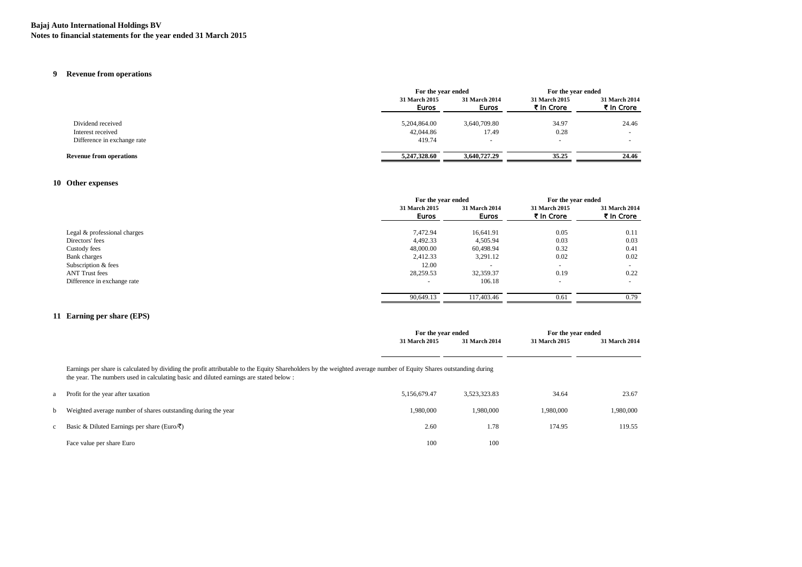### **Bajaj Auto International Holdings BV Notes to financial statements for the year ended 31 March 2015**

# **9 Revenue from operations**

|                                | For the year ended            |                               | For the year ended          |                             |
|--------------------------------|-------------------------------|-------------------------------|-----------------------------|-----------------------------|
|                                | 31 March 2015<br><b>Euros</b> | 31 March 2014<br><b>Euros</b> | 31 March 2015<br>₹ In Crore | 31 March 2014<br>₹ In Crore |
| Dividend received              | 5,204,864.00                  | 3,640,709.80                  | 34.97                       | 24.46                       |
| Interest received              | 42,044.86                     | 17.49                         | 0.28                        |                             |
| Difference in exchange rate    | 419.74                        | $\overline{\phantom{a}}$      | $\overline{\phantom{a}}$    |                             |
| <b>Revenue from operations</b> | 5,247,328.60                  | 3,640,727.29                  | 35.25                       | 24.46                       |

### **10 Other expenses**

|                              | For the year ended       |                               | For the year ended          |                             |
|------------------------------|--------------------------|-------------------------------|-----------------------------|-----------------------------|
|                              | 31 March 2015<br>Euros   | <b>31 March 2014</b><br>Euros | 31 March 2015<br>₹ In Crore | 31 March 2014<br>₹ In Crore |
| Legal & professional charges | 7,472.94                 | 16.641.91                     | 0.05                        | 0.11                        |
| Directors' fees              | 4,492.33                 | 4,505.94                      | 0.03                        | 0.03                        |
| Custody fees                 | 48,000.00                | 60,498.94                     | 0.32                        | 0.41                        |
| <b>Bank</b> charges          | 2,412.33                 | 3,291.12                      | 0.02                        | 0.02                        |
| Subscription & fees          | 12.00                    |                               | $\overline{\phantom{a}}$    |                             |
| <b>ANT Trust fees</b>        | 28,259.53                | 32,359.37                     | 0.19                        | 0.22                        |
| Difference in exchange rate  | $\overline{\phantom{a}}$ | 106.18                        | $\overline{\phantom{a}}$    |                             |
|                              | 90,649.13                | 117,403.46                    | 0.61                        | 0.79                        |

### **11 Earning per share (EPS)**

|                                                                                                                                                                                                                                                              | For the year ended |               | For the year ended |                      |
|--------------------------------------------------------------------------------------------------------------------------------------------------------------------------------------------------------------------------------------------------------------|--------------------|---------------|--------------------|----------------------|
|                                                                                                                                                                                                                                                              | 31 March 2015      | 31 March 2014 | 31 March 2015      | <b>31 March 2014</b> |
|                                                                                                                                                                                                                                                              |                    |               |                    |                      |
| Earnings per share is calculated by dividing the profit attributable to the Equity Shareholders by the weighted average number of Equity Shares outstanding during<br>the year. The numbers used in calculating basic and diluted earnings are stated below: |                    |               |                    |                      |
| Profit for the year after taxation                                                                                                                                                                                                                           | 5.156.679.47       | 3,523,323.83  | 34.64              | 23.67                |
| Weighted average number of shares outstanding during the year                                                                                                                                                                                                | 1,980,000          | 1.980,000     | 1.980.000          | 1,980,000            |
| Basic & Diluted Earnings per share (Euro/ $\bar{\zeta}$ )                                                                                                                                                                                                    | 2.60               | 1.78          | 174.95             | 119.55               |
| Face value per share Euro                                                                                                                                                                                                                                    | 100                | 100           |                    |                      |